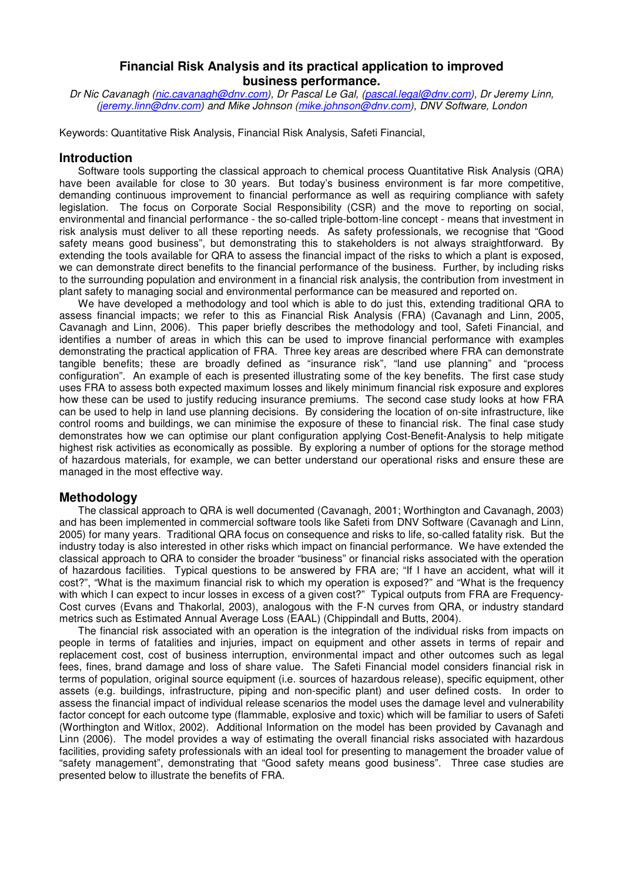# **Financial Risk Analysis and its practical application to improved business performance.**

Dr Nic Cavanagh (nic.cavanagh@dnv.com), Dr Pascal Le Gal, (pascal.legal@dnv.com), Dr Jeremy Linn, (jeremy.linn@dnv.com) and Mike Johnson (mike.johnson@dnv.com), DNV Software, London

Keywords: Quantitative Risk Analysis, Financial Risk Analysis, Safeti Financial,

# **Introduction**

Software tools supporting the classical approach to chemical process Quantitative Risk Analysis (QRA) have been available for close to 30 years. But today's business environment is far more competitive, demanding continuous improvement to financial performance as well as requiring compliance with safety legislation. The focus on Corporate Social Responsibility (CSR) and the move to reporting on social, environmental and financial performance - the so-called triple-bottom-line concept - means that investment in risk analysis must deliver to all these reporting needs. As safety professionals, we recognise that "Good safety means good business", but demonstrating this to stakeholders is not always straightforward. By extending the tools available for QRA to assess the financial impact of the risks to which a plant is exposed, we can demonstrate direct benefits to the financial performance of the business. Further, by including risks to the surrounding population and environment in a financial risk analysis, the contribution from investment in plant safety to managing social and environmental performance can be measured and reported on.

We have developed a methodology and tool which is able to do just this, extending traditional QRA to assess financial impacts; we refer to this as Financial Risk Analysis (FRA) (Cavanagh and Linn, 2005, Cavanagh and Linn, 2006). This paper briefly describes the methodology and tool, Safeti Financial, and identifies a number of areas in which this can be used to improve financial performance with examples demonstrating the practical application of FRA. Three key areas are described where FRA can demonstrate tangible benefits; these are broadly defined as "insurance risk", "land use planning" and "process configuration". An example of each is presented illustrating some of the key benefits. The first case study uses FRA to assess both expected maximum losses and likely minimum financial risk exposure and explores how these can be used to justify reducing insurance premiums. The second case study looks at how FRA can be used to help in land use planning decisions. By considering the location of on-site infrastructure, like control rooms and buildings, we can minimise the exposure of these to financial risk. The final case study demonstrates how we can optimise our plant configuration applying Cost-Benefit-Analysis to help mitigate highest risk activities as economically as possible. By exploring a number of options for the storage method of hazardous materials, for example, we can better understand our operational risks and ensure these are managed in the most effective way.

# **Methodology**

The classical approach to QRA is well documented (Cavanagh, 2001; Worthington and Cavanagh, 2003) and has been implemented in commercial software tools like Safeti from DNV Software (Cavanagh and Linn, 2005) for many years. Traditional QRA focus on consequence and risks to life, so-called fatality risk. But the industry today is also interested in other risks which impact on financial performance. We have extended the classical approach to QRA to consider the broader "business" or financial risks associated with the operation of hazardous facilities. Typical questions to be answered by FRA are; "If I have an accident, what will it cost?", "What is the maximum financial risk to which my operation is exposed?" and "What is the frequency with which I can expect to incur losses in excess of a given cost?" Typical outputs from FRA are Frequency-Cost curves (Evans and Thakorlal, 2003), analogous with the F-N curves from QRA, or industry standard metrics such as Estimated Annual Average Loss (EAAL) (Chippindall and Butts, 2004).

The financial risk associated with an operation is the integration of the individual risks from impacts on people in terms of fatalities and injuries, impact on equipment and other assets in terms of repair and replacement cost, cost of business interruption, environmental impact and other outcomes such as legal fees, fines, brand damage and loss of share value. The Safeti Financial model considers financial risk in terms of population, original source equipment (i.e. sources of hazardous release), specific equipment, other assets (e.g. buildings, infrastructure, piping and non-specific plant) and user defined costs. In order to assess the financial impact of individual release scenarios the model uses the damage level and vulnerability factor concept for each outcome type (flammable, explosive and toxic) which will be familiar to users of Safeti (Worthington and Witlox, 2002). Additional Information on the model has been provided by Cavanagh and Linn (2006). The model provides a way of estimating the overall financial risks associated with hazardous facilities, providing safety professionals with an ideal tool for presenting to management the broader value of "safety management", demonstrating that "Good safety means good business". Three case studies are presented below to illustrate the benefits of FRA.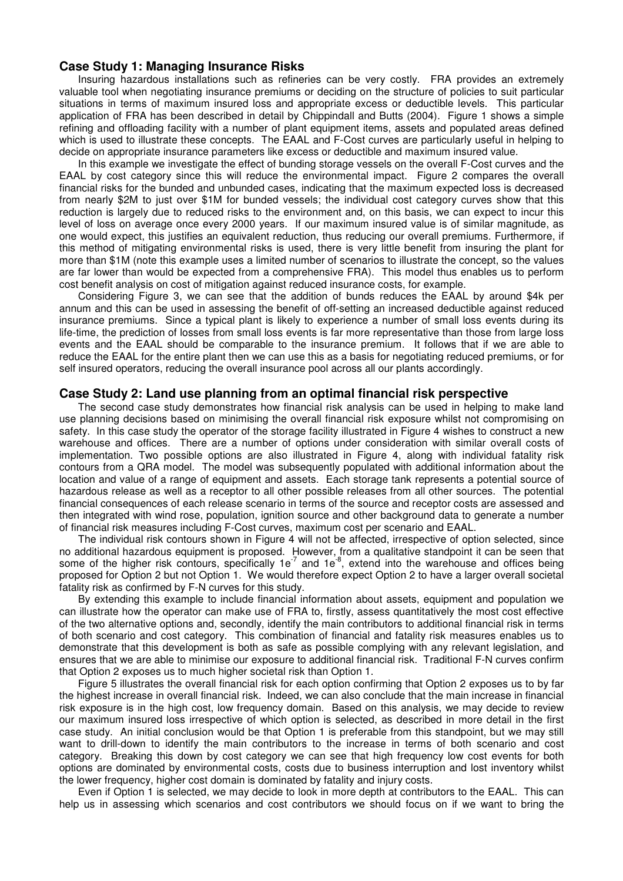# **Case Study 1: Managing Insurance Risks**

Insuring hazardous installations such as refineries can be very costly. FRA provides an extremely valuable tool when negotiating insurance premiums or deciding on the structure of policies to suit particular situations in terms of maximum insured loss and appropriate excess or deductible levels. This particular application of FRA has been described in detail by Chippindall and Butts (2004). Figure 1 shows a simple refining and offloading facility with a number of plant equipment items, assets and populated areas defined which is used to illustrate these concepts. The EAAL and F-Cost curves are particularly useful in helping to decide on appropriate insurance parameters like excess or deductible and maximum insured value.

In this example we investigate the effect of bunding storage vessels on the overall F-Cost curves and the EAAL by cost category since this will reduce the environmental impact. Figure 2 compares the overall financial risks for the bunded and unbunded cases, indicating that the maximum expected loss is decreased from nearly \$2M to just over \$1M for bunded vessels; the individual cost category curves show that this reduction is largely due to reduced risks to the environment and, on this basis, we can expect to incur this level of loss on average once every 2000 years. If our maximum insured value is of similar magnitude, as one would expect, this justifies an equivalent reduction, thus reducing our overall premiums. Furthermore, if this method of mitigating environmental risks is used, there is very little benefit from insuring the plant for more than \$1M (note this example uses a limited number of scenarios to illustrate the concept, so the values are far lower than would be expected from a comprehensive FRA). This model thus enables us to perform cost benefit analysis on cost of mitigation against reduced insurance costs, for example.

Considering Figure 3, we can see that the addition of bunds reduces the EAAL by around \$4k per annum and this can be used in assessing the benefit of off-setting an increased deductible against reduced insurance premiums. Since a typical plant is likely to experience a number of small loss events during its life-time, the prediction of losses from small loss events is far more representative than those from large loss events and the EAAL should be comparable to the insurance premium. It follows that if we are able to reduce the EAAL for the entire plant then we can use this as a basis for negotiating reduced premiums, or for self insured operators, reducing the overall insurance pool across all our plants accordingly.

#### **Case Study 2: Land use planning from an optimal financial risk perspective**

The second case study demonstrates how financial risk analysis can be used in helping to make land use planning decisions based on minimising the overall financial risk exposure whilst not compromising on safety. In this case study the operator of the storage facility illustrated in Figure 4 wishes to construct a new warehouse and offices. There are a number of options under consideration with similar overall costs of implementation. Two possible options are also illustrated in Figure 4, along with individual fatality risk contours from a QRA model. The model was subsequently populated with additional information about the location and value of a range of equipment and assets. Each storage tank represents a potential source of hazardous release as well as a receptor to all other possible releases from all other sources. The potential financial consequences of each release scenario in terms of the source and receptor costs are assessed and then integrated with wind rose, population, ignition source and other background data to generate a number of financial risk measures including F-Cost curves, maximum cost per scenario and EAAL.

The individual risk contours shown in Figure 4 will not be affected, irrespective of option selected, since no additional hazardous equipment is proposed. However, from a qualitative standpoint it can be seen that some of the higher risk contours, specifically 1e<sup>-7</sup> and 1e<sup>-8</sup>, extend into the warehouse and offices being proposed for Option 2 but not Option 1. We would therefore expect Option 2 to have a larger overall societal fatality risk as confirmed by F-N curves for this study.

By extending this example to include financial information about assets, equipment and population we can illustrate how the operator can make use of FRA to, firstly, assess quantitatively the most cost effective of the two alternative options and, secondly, identify the main contributors to additional financial risk in terms of both scenario and cost category. This combination of financial and fatality risk measures enables us to demonstrate that this development is both as safe as possible complying with any relevant legislation, and ensures that we are able to minimise our exposure to additional financial risk. Traditional F-N curves confirm that Option 2 exposes us to much higher societal risk than Option 1.

Figure 5 illustrates the overall financial risk for each option confirming that Option 2 exposes us to by far the highest increase in overall financial risk. Indeed, we can also conclude that the main increase in financial risk exposure is in the high cost, low frequency domain. Based on this analysis, we may decide to review our maximum insured loss irrespective of which option is selected, as described in more detail in the first case study. An initial conclusion would be that Option 1 is preferable from this standpoint, but we may still want to drill-down to identify the main contributors to the increase in terms of both scenario and cost category. Breaking this down by cost category we can see that high frequency low cost events for both options are dominated by environmental costs, costs due to business interruption and lost inventory whilst the lower frequency, higher cost domain is dominated by fatality and injury costs.

Even if Option 1 is selected, we may decide to look in more depth at contributors to the EAAL. This can help us in assessing which scenarios and cost contributors we should focus on if we want to bring the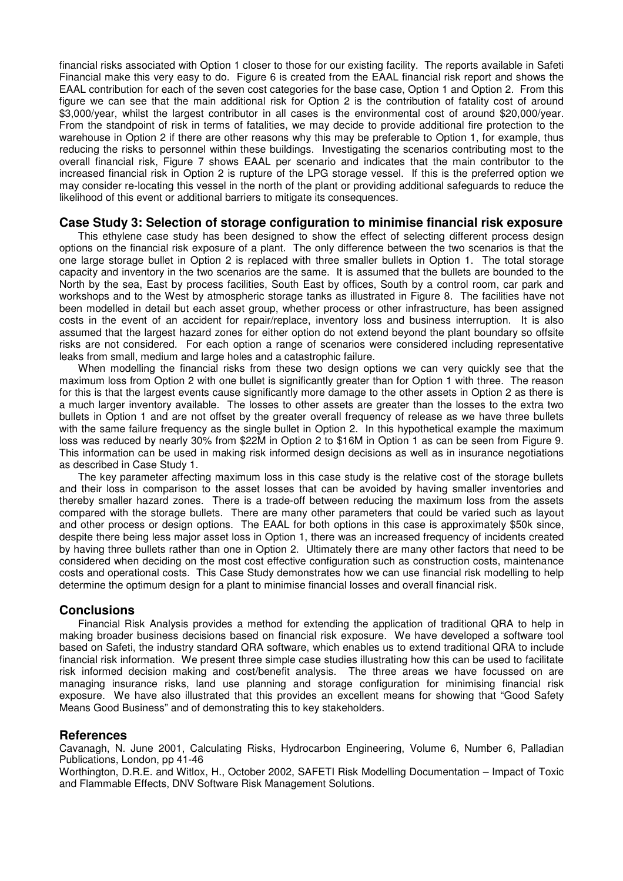financial risks associated with Option 1 closer to those for our existing facility. The reports available in Safeti Financial make this very easy to do. Figure 6 is created from the EAAL financial risk report and shows the EAAL contribution for each of the seven cost categories for the base case, Option 1 and Option 2. From this figure we can see that the main additional risk for Option 2 is the contribution of fatality cost of around \$3,000/year, whilst the largest contributor in all cases is the environmental cost of around \$20,000/year. From the standpoint of risk in terms of fatalities, we may decide to provide additional fire protection to the warehouse in Option 2 if there are other reasons why this may be preferable to Option 1, for example, thus reducing the risks to personnel within these buildings. Investigating the scenarios contributing most to the overall financial risk, Figure 7 shows EAAL per scenario and indicates that the main contributor to the increased financial risk in Option 2 is rupture of the LPG storage vessel. If this is the preferred option we may consider re-locating this vessel in the north of the plant or providing additional safeguards to reduce the likelihood of this event or additional barriers to mitigate its consequences.

# **Case Study 3: Selection of storage configuration to minimise financial risk exposure**

This ethylene case study has been designed to show the effect of selecting different process design options on the financial risk exposure of a plant. The only difference between the two scenarios is that the one large storage bullet in Option 2 is replaced with three smaller bullets in Option 1. The total storage capacity and inventory in the two scenarios are the same. It is assumed that the bullets are bounded to the North by the sea, East by process facilities, South East by offices, South by a control room, car park and workshops and to the West by atmospheric storage tanks as illustrated in Figure 8. The facilities have not been modelled in detail but each asset group, whether process or other infrastructure, has been assigned costs in the event of an accident for repair/replace, inventory loss and business interruption. It is also assumed that the largest hazard zones for either option do not extend beyond the plant boundary so offsite risks are not considered. For each option a range of scenarios were considered including representative leaks from small, medium and large holes and a catastrophic failure.

When modelling the financial risks from these two design options we can very quickly see that the maximum loss from Option 2 with one bullet is significantly greater than for Option 1 with three. The reason for this is that the largest events cause significantly more damage to the other assets in Option 2 as there is a much larger inventory available. The losses to other assets are greater than the losses to the extra two bullets in Option 1 and are not offset by the greater overall frequency of release as we have three bullets with the same failure frequency as the single bullet in Option 2. In this hypothetical example the maximum loss was reduced by nearly 30% from \$22M in Option 2 to \$16M in Option 1 as can be seen from Figure 9. This information can be used in making risk informed design decisions as well as in insurance negotiations as described in Case Study 1.

The key parameter affecting maximum loss in this case study is the relative cost of the storage bullets and their loss in comparison to the asset losses that can be avoided by having smaller inventories and thereby smaller hazard zones. There is a trade-off between reducing the maximum loss from the assets compared with the storage bullets. There are many other parameters that could be varied such as layout and other process or design options. The EAAL for both options in this case is approximately \$50k since, despite there being less major asset loss in Option 1, there was an increased frequency of incidents created by having three bullets rather than one in Option 2. Ultimately there are many other factors that need to be considered when deciding on the most cost effective configuration such as construction costs, maintenance costs and operational costs. This Case Study demonstrates how we can use financial risk modelling to help determine the optimum design for a plant to minimise financial losses and overall financial risk.

# **Conclusions**

Financial Risk Analysis provides a method for extending the application of traditional QRA to help in making broader business decisions based on financial risk exposure. We have developed a software tool based on Safeti, the industry standard QRA software, which enables us to extend traditional QRA to include financial risk information. We present three simple case studies illustrating how this can be used to facilitate risk informed decision making and cost/benefit analysis. The three areas we have focussed on are managing insurance risks, land use planning and storage configuration for minimising financial risk exposure. We have also illustrated that this provides an excellent means for showing that "Good Safety Means Good Business" and of demonstrating this to key stakeholders.

# **References**

Cavanagh, N. June 2001, Calculating Risks, Hydrocarbon Engineering, Volume 6, Number 6, Palladian Publications, London, pp 41-46

Worthington, D.R.E. and Witlox, H., October 2002, SAFETI Risk Modelling Documentation – Impact of Toxic and Flammable Effects, DNV Software Risk Management Solutions.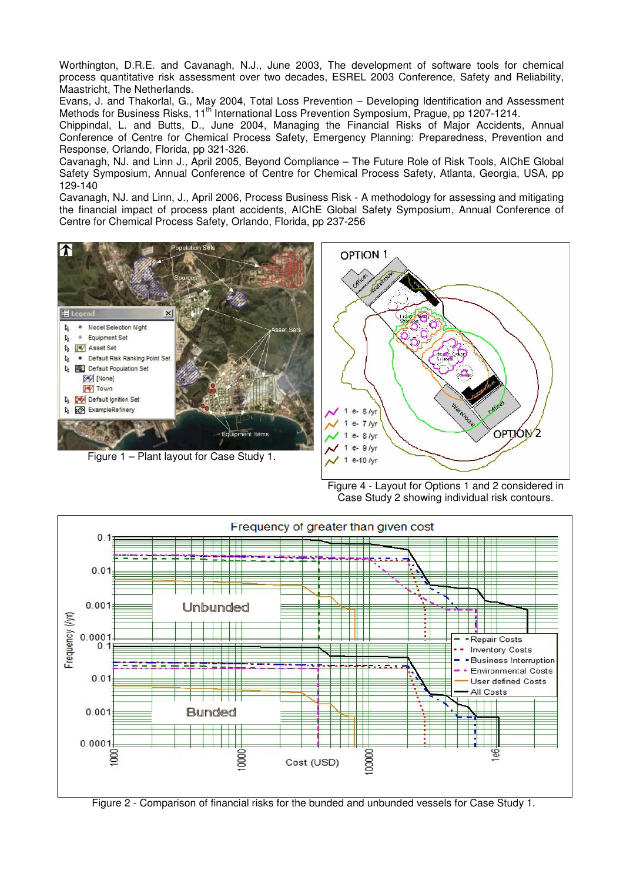Worthington, D.R.E. and Cavanagh, N.J., June 2003, The development of software tools for chemical process quantitative risk assessment over two decades, ESREL 2003 Conference, Safety and Reliability, Maastricht, The Netherlands.

Evans, J. and Thakorlal, G., May 2004, Total Loss Prevention – Developing Identification and Assessment Methods for Business Risks, 11<sup>th</sup> International Loss Prevention Symposium, Prague, pp 1207-1214.

Chippindal, L. and Butts, D., June 2004, Managing the Financial Risks of Major Accidents, Annual Conference of Centre for Chemical Process Safety, Emergency Planning: Preparedness, Prevention and Response, Orlando, Florida, pp 321-326.

Cavanagh, NJ. and Linn J., April 2005, Beyond Compliance – The Future Role of Risk Tools, AIChE Global Safety Symposium, Annual Conference of Centre for Chemical Process Safety, Atlanta, Georgia, USA, pp 129-140

Cavanagh, NJ. and Linn, J., April 2006, Process Business Risk - A methodology for assessing and mitigating the financial impact of process plant accidents, AIChE Global Safety Symposium, Annual Conference of Centre for Chemical Process Safety, Orlando, Florida, pp 237-256



Figure 1 – Plant layout for Case Study 1.



Figure 4 - Layout for Options 1 and 2 considered in Case Study 2 showing individual risk contours.



Figure 2 - Comparison of financial risks for the bunded and unbunded vessels for Case Study 1.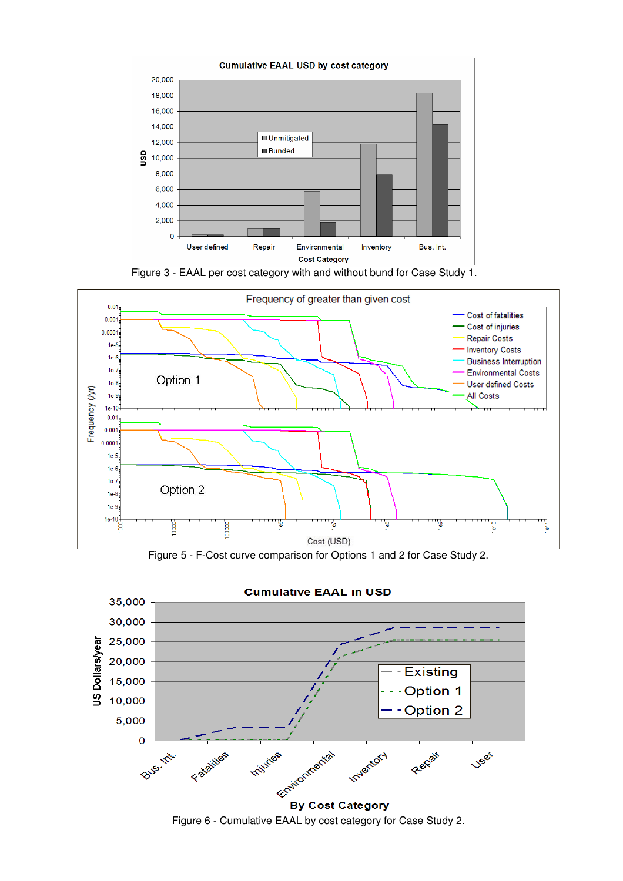





Figure 5 - F-Cost curve comparison for Options 1 and 2 for Case Study 2.



Figure 6 - Cumulative EAAL by cost category for Case Study 2.